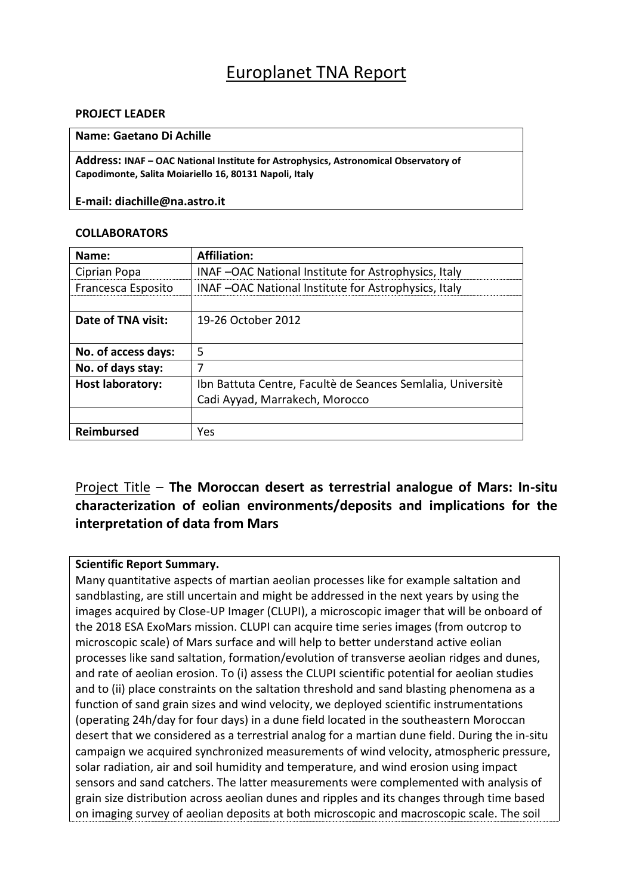# Europlanet TNA Report

#### **PROJECT LEADER**

#### **Name: Gaetano Di Achille**

**Address: INAF – OAC National Institute for Astrophysics, Astronomical Observatory of Capodimonte, Salita Moiariello 16, 80131 Napoli, Italy**

**E-mail: diachille@na.astro.it**

#### **COLLABORATORS**

| Name:                   | <b>Affiliation:</b>                                         |  |  |
|-------------------------|-------------------------------------------------------------|--|--|
| Ciprian Popa            | INAF-OAC National Institute for Astrophysics, Italy         |  |  |
| Francesca Esposito      | INAF-OAC National Institute for Astrophysics, Italy         |  |  |
|                         |                                                             |  |  |
| Date of TNA visit:      | 19-26 October 2012                                          |  |  |
|                         |                                                             |  |  |
| No. of access days:     | 5                                                           |  |  |
| No. of days stay:       | 7                                                           |  |  |
| <b>Host laboratory:</b> | Ibn Battuta Centre, Facultè de Seances Semialia, Universitè |  |  |
|                         | Cadi Ayyad, Marrakech, Morocco                              |  |  |
|                         |                                                             |  |  |
| <b>Reimbursed</b>       | Yes                                                         |  |  |

## Project Title – **The Moroccan desert as terrestrial analogue of Mars: In-situ characterization of eolian environments/deposits and implications for the interpretation of data from Mars**

#### **Scientific Report Summary.**

Many quantitative aspects of martian aeolian processes like for example saltation and sandblasting, are still uncertain and might be addressed in the next years by using the images acquired by Close-UP Imager (CLUPI), a microscopic imager that will be onboard of the 2018 ESA ExoMars mission. CLUPI can acquire time series images (from outcrop to microscopic scale) of Mars surface and will help to better understand active eolian processes like sand saltation, formation/evolution of transverse aeolian ridges and dunes, and rate of aeolian erosion. To (i) assess the CLUPI scientific potential for aeolian studies and to (ii) place constraints on the saltation threshold and sand blasting phenomena as a function of sand grain sizes and wind velocity, we deployed scientific instrumentations (operating 24h/day for four days) in a dune field located in the southeastern Moroccan desert that we considered as a terrestrial analog for a martian dune field. During the in-situ campaign we acquired synchronized measurements of wind velocity, atmospheric pressure, solar radiation, air and soil humidity and temperature, and wind erosion using impact sensors and sand catchers. The latter measurements were complemented with analysis of grain size distribution across aeolian dunes and ripples and its changes through time based on imaging survey of aeolian deposits at both microscopic and macroscopic scale. The soil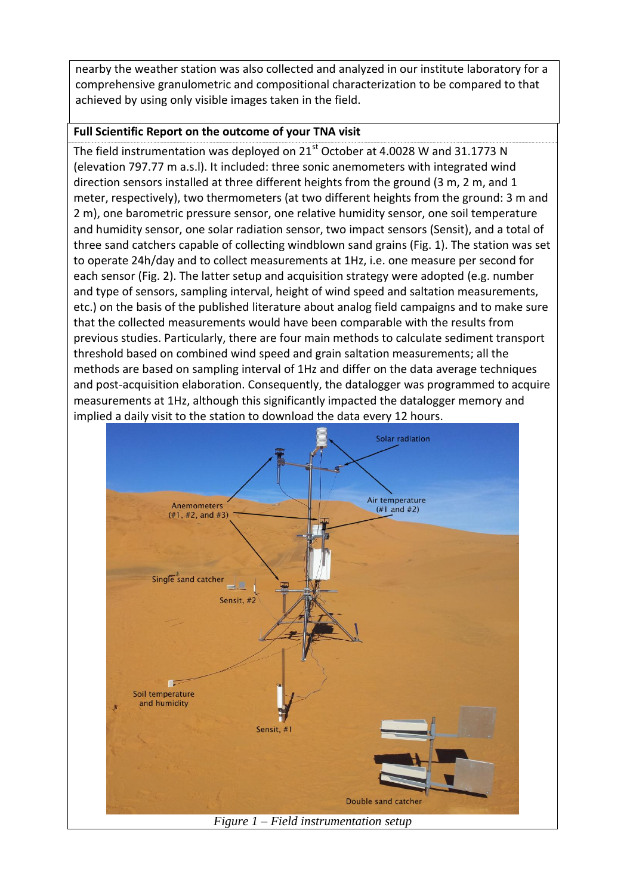nearby the weather station was also collected and analyzed in our institute laboratory for a comprehensive granulometric and compositional characterization to be compared to that achieved by using only visible images taken in the field.

### **Full Scientific Report on the outcome of your TNA visit**

The field instrumentation was deployed on  $21<sup>st</sup>$  October at 4.0028 W and 31.1773 N (elevation 797.77 m a.s.l). It included: three sonic anemometers with integrated wind direction sensors installed at three different heights from the ground (3 m, 2 m, and 1 meter, respectively), two thermometers (at two different heights from the ground: 3 m and 2 m), one barometric pressure sensor, one relative humidity sensor, one soil temperature and humidity sensor, one solar radiation sensor, two impact sensors (Sensit), and a total of three sand catchers capable of collecting windblown sand grains (Fig. 1). The station was set to operate 24h/day and to collect measurements at 1Hz, i.e. one measure per second for each sensor (Fig. 2). The latter setup and acquisition strategy were adopted (e.g. number and type of sensors, sampling interval, height of wind speed and saltation measurements, etc.) on the basis of the published literature about analog field campaigns and to make sure that the collected measurements would have been comparable with the results from previous studies. Particularly, there are four main methods to calculate sediment transport threshold based on combined wind speed and grain saltation measurements; all the methods are based on sampling interval of 1Hz and differ on the data average techniques and post-acquisition elaboration. Consequently, the datalogger was programmed to acquire measurements at 1Hz, although this significantly impacted the datalogger memory and implied a daily visit to the station to download the data every 12 hours.



*Figure 1 – Field instrumentation setup*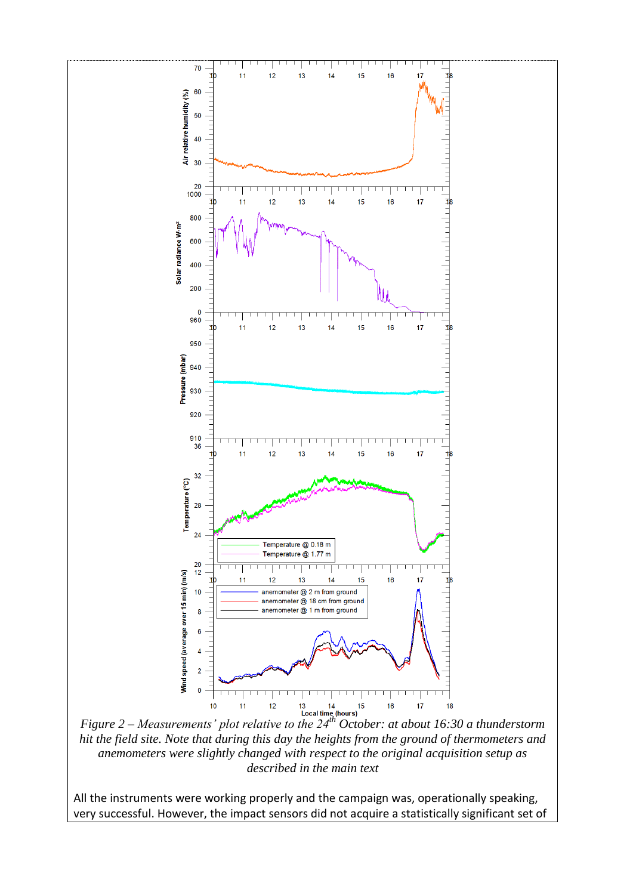

*hit the field site. Note that during this day the heights from the ground of thermometers and anemometers were slightly changed with respect to the original acquisition setup as described in the main text* 

All the instruments were working properly and the campaign was, operationally speaking, very successful. However, the impact sensors did not acquire a statistically significant set of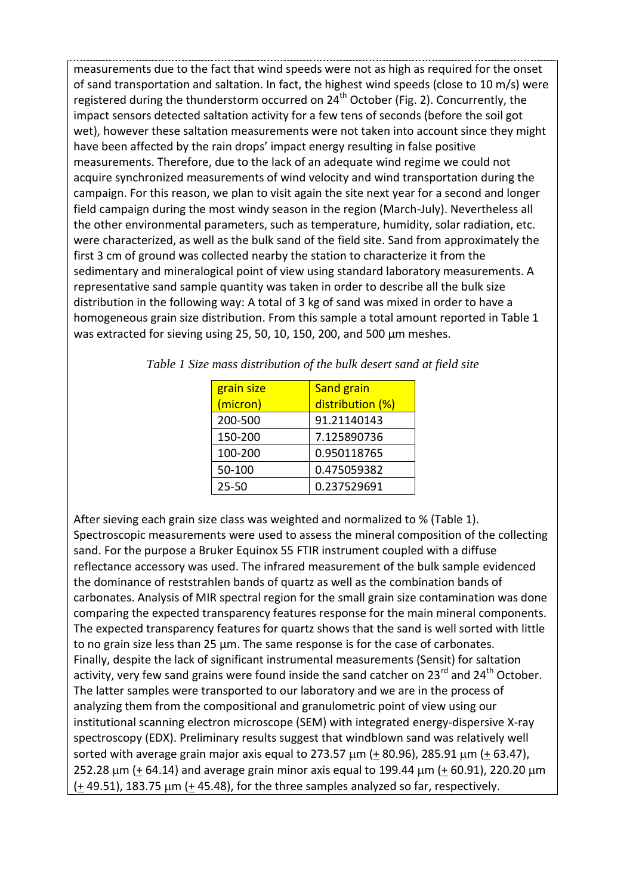measurements due to the fact that wind speeds were not as high as required for the onset of sand transportation and saltation. In fact, the highest wind speeds (close to 10 m/s) were registered during the thunderstorm occurred on 24<sup>th</sup> October (Fig. 2). Concurrently, the impact sensors detected saltation activity for a few tens of seconds (before the soil got wet), however these saltation measurements were not taken into account since they might have been affected by the rain drops' impact energy resulting in false positive measurements. Therefore, due to the lack of an adequate wind regime we could not acquire synchronized measurements of wind velocity and wind transportation during the campaign. For this reason, we plan to visit again the site next year for a second and longer field campaign during the most windy season in the region (March-July). Nevertheless all the other environmental parameters, such as temperature, humidity, solar radiation, etc. were characterized, as well as the bulk sand of the field site. Sand from approximately the first 3 cm of ground was collected nearby the station to characterize it from the sedimentary and mineralogical point of view using standard laboratory measurements. A representative sand sample quantity was taken in order to describe all the bulk size distribution in the following way: A total of 3 kg of sand was mixed in order to have a homogeneous grain size distribution. From this sample a total amount reported in Table 1 was extracted for sieving using 25, 50, 10, 150, 200, and 500 µm meshes.

| grain size | Sand grain       |
|------------|------------------|
| (micron)   | distribution (%) |
| 200-500    | 91.21140143      |
| 150-200    | 7.125890736      |
| 100-200    | 0.950118765      |
| 50-100     | 0.475059382      |
| $25 - 50$  | 0.237529691      |

*Table 1 Size mass distribution of the bulk desert sand at field site*

After sieving each grain size class was weighted and normalized to % (Table 1). Spectroscopic measurements were used to assess the mineral composition of the collecting sand. For the purpose a Bruker Equinox 55 FTIR instrument coupled with a diffuse reflectance accessory was used. The infrared measurement of the bulk sample evidenced the dominance of reststrahlen bands of quartz as well as the combination bands of carbonates. Analysis of MIR spectral region for the small grain size contamination was done comparing the expected transparency features response for the main mineral components. The expected transparency features for quartz shows that the sand is well sorted with little to no grain size less than 25 µm. The same response is for the case of carbonates. Finally, despite the lack of significant instrumental measurements (Sensit) for saltation activity, very few sand grains were found inside the sand catcher on  $23^{rd}$  and  $24^{th}$  October. The latter samples were transported to our laboratory and we are in the process of analyzing them from the compositional and granulometric point of view using our institutional scanning electron microscope (SEM) with integrated energy-dispersive X-ray spectroscopy (EDX). Preliminary results suggest that windblown sand was relatively well sorted with average grain major axis equal to 273.57  $\mu$ m (+ 80.96), 285.91  $\mu$ m (+ 63.47), 252.28  $\mu$ m (+ 64.14) and average grain minor axis equal to 199.44  $\mu$ m (+ 60.91), 220.20  $\mu$ m  $(+ 49.51)$ , 183.75  $\mu$ m (+ 45.48), for the three samples analyzed so far, respectively.